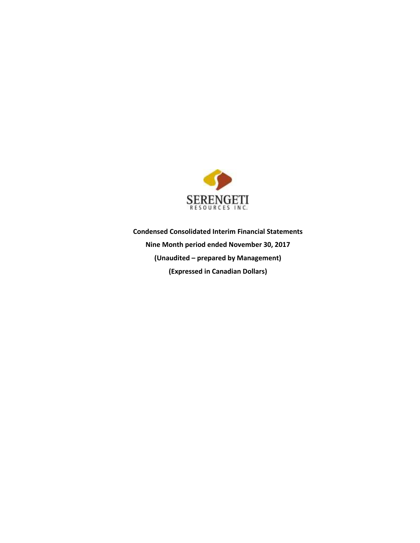

**Condensed Consolidated Interim Financial Statements Nine Month period ended November 30, 2017 (Unaudited – prepared by Management) (Expressed in Canadian Dollars)**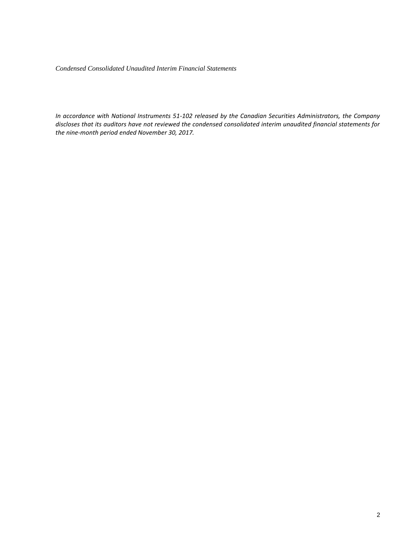*Condensed Consolidated Unaudited Interim Financial Statements* 

*In accordance with National Instruments 51-102 released by the Canadian Securities Administrators, the Company discloses that its auditors have not reviewed the condensed consolidated interim unaudited financial statements for the nine-month period ended November 30, 2017.*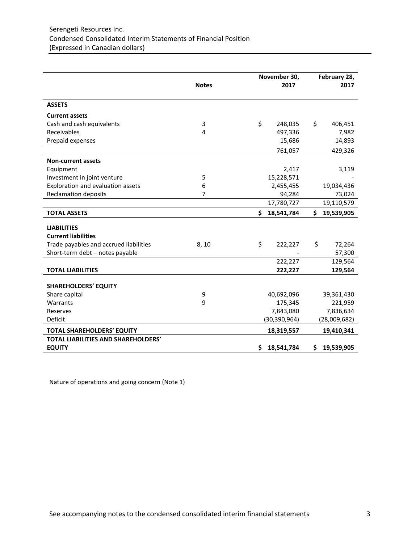|                                            | <b>Notes</b>   | November 30,<br>2017 |                |    | February 28,<br>2017 |
|--------------------------------------------|----------------|----------------------|----------------|----|----------------------|
| <b>ASSETS</b>                              |                |                      |                |    |                      |
| <b>Current assets</b>                      |                |                      |                |    |                      |
| Cash and cash equivalents                  | 3              | \$                   | 248,035        | \$ | 406,451              |
| Receivables                                | 4              |                      | 497,336        |    | 7,982                |
| Prepaid expenses                           |                |                      | 15,686         |    | 14,893               |
|                                            |                |                      | 761,057        |    | 429,326              |
| <b>Non-current assets</b>                  |                |                      |                |    |                      |
| Equipment                                  |                |                      | 2,417          |    | 3,119                |
| Investment in joint venture                | 5              |                      | 15,228,571     |    |                      |
| Exploration and evaluation assets          | 6              |                      | 2,455,455      |    | 19,034,436           |
| <b>Reclamation deposits</b>                | $\overline{7}$ |                      | 94,284         |    | 73,024               |
|                                            |                |                      | 17,780,727     |    | 19,110,579           |
| <b>TOTAL ASSETS</b>                        |                | Ś                    | 18,541,784     | Ś. | 19,539,905           |
| <b>LIABILITIES</b>                         |                |                      |                |    |                      |
| <b>Current liabilities</b>                 |                |                      |                |    |                      |
| Trade payables and accrued liabilities     | 8,10           | \$                   | 222,227        | \$ | 72,264               |
| Short-term debt - notes payable            |                |                      |                |    | 57,300               |
|                                            |                |                      | 222,227        |    | 129,564              |
| <b>TOTAL LIABILITIES</b>                   |                |                      | 222,227        |    | 129,564              |
|                                            |                |                      |                |    |                      |
| <b>SHAREHOLDERS' EQUITY</b>                |                |                      |                |    |                      |
| Share capital                              | 9              |                      | 40,692,096     |    | 39,361,430           |
| Warrants                                   | 9              |                      | 175,345        |    | 221,959              |
| Reserves                                   |                |                      | 7,843,080      |    | 7,836,634            |
| Deficit                                    |                |                      | (30, 390, 964) |    | (28,009,682)         |
| <b>TOTAL SHAREHOLDERS' EQUITY</b>          |                |                      | 18,319,557     |    | 19,410,341           |
| <b>TOTAL LIABILITIES AND SHAREHOLDERS'</b> |                |                      |                |    |                      |
| <b>EQUITY</b>                              |                | \$                   | 18,541,784     | \$ | 19,539,905           |

Nature of operations and going concern (Note 1)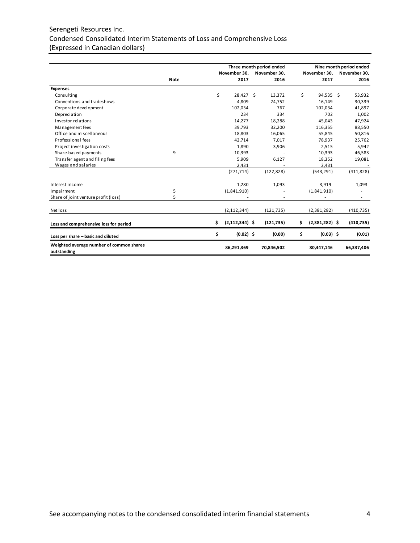# Serengeti Resources Inc. Condensed Consolidated Interim Statements of Loss and Comprehensive Loss (Expressed in Canadian dollars)

|                                                         |             |                          | Three month period ended |    |                  | Nine month period ended |
|---------------------------------------------------------|-------------|--------------------------|--------------------------|----|------------------|-------------------------|
|                                                         |             | November 30,             | November 30,             |    | November 30,     | November 30,            |
|                                                         | <b>Note</b> | 2017                     | 2016                     |    | 2017             | 2016                    |
| <b>Expenses</b>                                         |             |                          |                          |    |                  |                         |
| Consulting                                              |             | \$<br>28.427 \$          | 13,372                   | Ś  | 94.535 \$        | 53,932                  |
| Conventions and tradeshows                              |             | 4,809                    | 24,752                   |    | 16,149           | 30,339                  |
| Corporate development                                   |             | 102,034                  | 767                      |    | 102,034          | 41,897                  |
| Depreciation                                            |             | 234                      | 334                      |    | 702              | 1,002                   |
| Investor relations                                      |             | 14,277                   | 18,288                   |    | 45,043           | 47,924                  |
| Management fees                                         |             | 39,793                   | 32,200                   |    | 116,355          | 88,550                  |
| Office and miscellaneous                                |             | 18,803                   | 16,065                   |    | 55,845           | 50,816                  |
| Professional fees                                       |             | 42,714                   | 7.017                    |    | 78,937           | 25,762                  |
| Project investigation costs                             |             | 1,890                    | 3,906                    |    | 2,515            | 5,942                   |
| Share-based payments                                    | 9           | 10,393                   |                          |    | 10,393           | 46,583                  |
| Transfer agent and filing fees                          |             | 5,909                    | 6,127                    |    | 18,352           | 19,081                  |
| Wages and salaries                                      |             | 2,431                    |                          |    | 2,431            |                         |
|                                                         |             | (271, 714)               | (122, 828)               |    | (543, 291)       | (411, 828)              |
| Interest income                                         |             | 1,280                    | 1,093                    |    | 3,919            | 1,093                   |
| Impairment                                              | 5           | (1,841,910)              |                          |    | (1,841,910)      |                         |
| Share of joint venture profit (loss)                    | 5           |                          |                          |    | ٠                |                         |
| Net loss                                                |             | (2, 112, 344)            | (121, 735)               |    | (2,381,282)      | (410, 735)              |
| Loss and comprehensive loss for period                  |             | \$<br>$(2, 112, 344)$ \$ | (121, 735)               | \$ | $(2,381,282)$ \$ | (410, 735)              |
| Loss per share - basic and diluted                      |             | \$<br>$(0.02)$ \$        | (0.00)                   | \$ | $(0.03)$ \$      | (0.01)                  |
| Weighted average number of common shares<br>outstanding |             | 86,291,369               | 70,846,502               |    | 80,447,146       | 66,337,406              |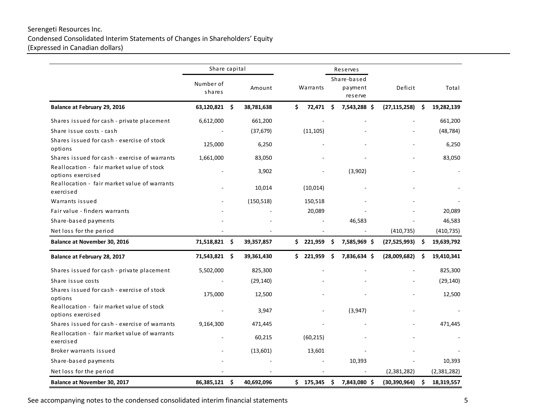# Serengeti Resources Inc. Condensed Consolidated Interim Statements of Changes in Shareholders' Equity (Expressed in Canadian dollars)

|                                                                | Share capital |      |            |          |           |     | Reserves     |                |                    |         |       |
|----------------------------------------------------------------|---------------|------|------------|----------|-----------|-----|--------------|----------------|--------------------|---------|-------|
|                                                                | Number of     |      |            |          |           |     | Share-based  |                |                    |         |       |
|                                                                | shares        |      | Amount     | Warrants |           |     |              |                | payment<br>reserve | Deficit | Total |
| Balance at February 29, 2016                                   | 63,120,821 \$ |      | 38,781,638 | \$       | 72,471    | \$. | 7,543,288 \$ | (27, 115, 258) | \$<br>19,282,139   |         |       |
| Shares issued for cash - private placement                     | 6,612,000     |      | 661,200    |          |           |     |              |                | 661,200            |         |       |
| Share issue costs - cash                                       |               |      | (37, 679)  |          | (11, 105) |     |              |                | (48, 784)          |         |       |
| Shares issued for cash - exercise of stock<br>options          | 125,000       |      | 6,250      |          |           |     |              |                | 6,250              |         |       |
| Shares issued for cash - exercise of warrants                  | 1,661,000     |      | 83,050     |          |           |     |              |                | 83,050             |         |       |
| Reallocation - fair market value of stock<br>options exercised |               |      | 3,902      |          |           |     | (3,902)      |                |                    |         |       |
| Reallocation - fair market value of warrants<br>exercised      |               |      | 10,014     |          | (10, 014) |     |              |                |                    |         |       |
| Warrants issued                                                |               |      | (150, 518) |          | 150,518   |     |              |                |                    |         |       |
| Fair value - finders warrants                                  |               |      |            |          | 20,089    |     |              |                | 20,089             |         |       |
| Share-based payments                                           |               |      |            |          |           |     | 46,583       |                | 46,583             |         |       |
| Net loss for the period                                        |               |      |            |          |           |     |              | (410, 735)     | (410, 735)         |         |       |
| Balance at November 30, 2016                                   | 71,518,821 \$ |      | 39,357,857 |          | \$221,959 | \$  | 7,585,969 \$ | (27, 525, 993) | \$<br>19,639,792   |         |       |
| Balance at February 28, 2017                                   | 71,543,821 \$ |      | 39,361,430 | \$       | 221,959   | \$. | 7,836,634 \$ | (28,009,682)   | \$<br>19,410,341   |         |       |
| Shares issued for cash - private placement                     | 5,502,000     |      | 825,300    |          |           |     |              |                | 825,300            |         |       |
| Share issue costs                                              |               |      | (29, 140)  |          |           |     |              |                | (29, 140)          |         |       |
| Shares issued for cash - exercise of stock<br>options          | 175,000       |      | 12,500     |          |           |     |              |                | 12,500             |         |       |
| Reallocation - fair market value of stock<br>options exercised |               |      | 3,947      |          |           |     | (3,947)      |                |                    |         |       |
| Shares issued for cash - exercise of warrants                  | 9,164,300     |      | 471,445    |          |           |     |              |                | 471,445            |         |       |
| Reallocation - fair market value of warrants<br>exercised      |               |      | 60,215     |          | (60, 215) |     |              |                |                    |         |       |
| Broker warrants issued                                         |               |      | (13,601)   |          | 13,601    |     |              |                |                    |         |       |
| Share-based payments                                           |               |      |            |          |           |     | 10,393       |                | 10,393             |         |       |
| Net loss for the period                                        |               |      |            |          |           |     |              | (2,381,282)    | (2,381,282)        |         |       |
| Balance at November 30, 2017                                   | 86,385,121    | - \$ | 40,692,096 |          | \$175,345 | \$  | 7,843,080 \$ | (30, 390, 964) | \$<br>18,319,557   |         |       |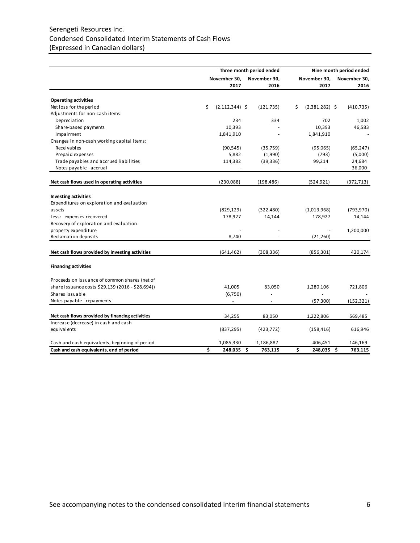# Serengeti Resources Inc. Condensed Consolidated Interim Statements of Cash Flows (Expressed in Canadian dollars)

|                                                  |                          | Three month period ended |                        | Nine month period ended |
|--------------------------------------------------|--------------------------|--------------------------|------------------------|-------------------------|
|                                                  | November 30,             | November 30,             | November 30,           | November 30,            |
|                                                  | 2017                     | 2016                     | 2017                   | 2016                    |
| <b>Operating activities</b>                      |                          |                          |                        |                         |
| Net loss for the period                          | \$<br>$(2, 112, 344)$ \$ | (121, 735)               | \$<br>$(2,381,282)$ \$ | (410, 735)              |
| Adjustments for non-cash items:                  |                          |                          |                        |                         |
| Depreciation                                     | 234                      | 334                      | 702                    | 1,002                   |
| Share-based payments                             | 10,393                   |                          | 10,393                 | 46,583                  |
| Impairment                                       | 1,841,910                |                          | 1,841,910              |                         |
| Changes in non-cash working capital items:       |                          |                          |                        |                         |
| Receivables                                      | (90, 545)                | (35, 759)                | (95,065)               | (65, 247)               |
| Prepaid expenses                                 | 5,882                    | (1,990)                  | (793)                  | (5,000)                 |
| Trade payables and accrued liabilities           | 114,382                  | (39, 336)                | 99,214                 | 24,684                  |
| Notes payable - accrual                          |                          |                          |                        | 36,000                  |
| Net cash flows used in operating activities      | (230, 088)               | (198, 486)               | (524, 921)             | (372, 713)              |
| <b>Investing activities</b>                      |                          |                          |                        |                         |
| Expenditures on exploration and evaluation       |                          |                          |                        |                         |
| assets                                           | (829, 129)               |                          | (1,013,968)            | (793, 970)              |
|                                                  |                          | (322, 480)               |                        |                         |
| Less: expenses recovered                         | 178,927                  | 14,144                   | 178,927                | 14,144                  |
| Recovery of exploration and evaluation           |                          |                          |                        |                         |
| property expenditure<br>Reclamation deposits     | 8,740                    |                          | (21, 260)              | 1,200,000               |
|                                                  |                          |                          |                        |                         |
| Net cash flows provided by investing activities  | (641, 462)               | (308, 336)               | (856, 301)             | 420,174                 |
| <b>Financing activities</b>                      |                          |                          |                        |                         |
| Proceeds on issuance of common shares (net of    |                          |                          |                        |                         |
| share issuance costs \$29,139 (2016 - \$28,694)) | 41,005                   | 83,050                   | 1,280,106              | 721,806                 |
| Shares issuable                                  | (6,750)                  |                          |                        |                         |
| Notes payable - repayments                       | $\overline{\phantom{a}}$ | $\sim$                   | (57, 300)              | (152, 321)              |
| Net cash flows provided by financing activities  | 34,255                   | 83,050                   | 1,222,806              | 569,485                 |
| Increase (decrease) in cash and cash             |                          |                          |                        |                         |
| equivalents                                      | (837, 295)               | (423, 772)               | (158, 416)             | 616,946                 |
| Cash and cash equivalents, beginning of period   | 1,085,330                | 1,186,887                | 406,451                | 146,169                 |
| Cash and cash equivalents, end of period         | \$<br>248,035 \$         | 763,115                  | \$<br>248,035 \$       | 763,115                 |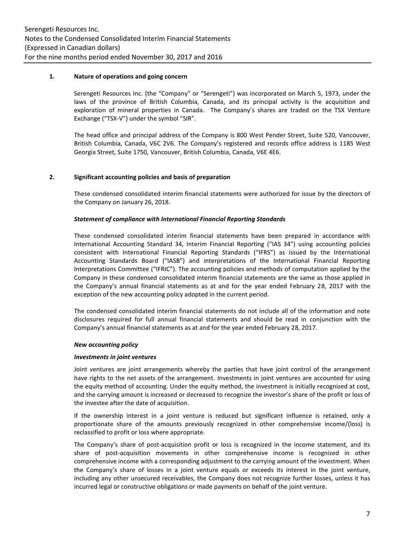### **1. Nature of operations and going concern**

Serengeti Resources Inc. (the "Company" or "Serengeti") was incorporated on March 5, 1973, under the laws of the province of British Columbia, Canada, and its principal activity is the acquisition and exploration of mineral properties in Canada. The Company's shares are traded on the TSX Venture Exchange ("TSX-V") under the symbol "SIR".

The head office and principal address of the Company is 800 West Pender Street, Suite 520, Vancouver, British Columbia, Canada, V6C 2V6. The Company's registered and records office address is 1185 West Georgia Street, Suite 1750, Vancouver, British Columbia, Canada, V6E 4E6.

### **2. Significant accounting policies and basis of preparation**

These condensed consolidated interim financial statements were authorized for issue by the directors of the Company on January 26, 2018.

### *Statement of compliance with International Financial Reporting Standards*

These condensed consolidated interim financial statements have been prepared in accordance with International Accounting Standard 34, Interim Financial Reporting ("IAS 34") using accounting policies consistent with International Financial Reporting Standards ("IFRS") as issued by the International Accounting Standards Board ("IASB") and interpretations of the International Financial Reporting Interpretations Committee ("IFRIC"). The accounting policies and methods of computation applied by the Company in these condensed consolidated interim financial statements are the same as those applied in the Company's annual financial statements as at and for the year ended February 28, 2017 with the exception of the new accounting policy adopted in the current period.

The condensed consolidated interim financial statements do not include all of the information and note disclosures required for full annual financial statements and should be read in conjunction with the Company's annual financial statements as at and for the year ended February 28, 2017.

#### *New accounting policy*

#### *Investments in joint ventures*

Joint ventures are joint arrangements whereby the parties that have joint control of the arrangement have rights to the net assets of the arrangement. Investments in joint ventures are accounted for using the equity method of accounting. Under the equity method, the investment is initially recognized at cost, and the carrying amount is increased or decreased to recognize the investor's share of the profit or loss of the investee after the date of acquisition.

If the ownership interest in a joint venture is reduced but significant influence is retained, only a proportionate share of the amounts previously recognized in other comprehensive income/(loss) is reclassified to profit or loss where appropriate.

The Company's share of post-acquisition profit or loss is recognized in the income statement, and its share of post-acquisition movements in other comprehensive income is recognized in other comprehensive income with a corresponding adjustment to the carrying amount of the investment. When the Company's share of losses in a joint venture equals or exceeds its interest in the joint venture, including any other unsecured receivables, the Company does not recognize further losses, unless it has incurred legal or constructive obligations or made payments on behalf of the joint venture.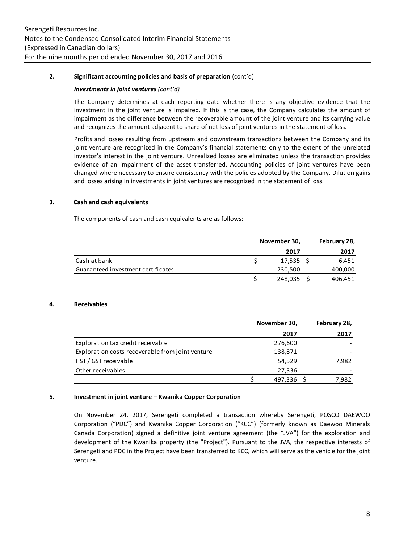### **2. Significant accounting policies and basis of preparation** (cont'd)

#### *Investments in joint ventures (cont'd)*

The Company determines at each reporting date whether there is any objective evidence that the investment in the joint venture is impaired. If this is the case, the Company calculates the amount of impairment as the difference between the recoverable amount of the joint venture and its carrying value and recognizes the amount adjacent to share of net loss of joint ventures in the statement of loss.

Profits and losses resulting from upstream and downstream transactions between the Company and its joint venture are recognized in the Company's financial statements only to the extent of the unrelated investor's interest in the joint venture. Unrealized losses are eliminated unless the transaction provides evidence of an impairment of the asset transferred. Accounting policies of joint ventures have been changed where necessary to ensure consistency with the policies adopted by the Company. Dilution gains and losses arising in investments in joint ventures are recognized in the statement of loss.

### **3. Cash and cash equivalents**

The components of cash and cash equivalents are as follows:

|                                    | November 30, | February 28, |
|------------------------------------|--------------|--------------|
|                                    | 2017         | 2017         |
| Cash at bank                       | $17,535$ \$  | 6.451        |
| Guaranteed investment certificates | 230,500      | 400,000      |
|                                    | 248,035      | 406,451      |

#### **4. Receivables**

|                                                  | November 30, | February 28, |
|--------------------------------------------------|--------------|--------------|
|                                                  | 2017         | 2017         |
| Exploration tax credit receivable                | 276,600      |              |
| Exploration costs recoverable from joint venture | 138,871      |              |
| HST / GST receivable                             | 54,529       | 7,982        |
| Other receivables                                | 27,336       |              |
|                                                  | 497.336      | 7.982        |

#### **5. Investment in joint venture – Kwanika Copper Corporation**

On November 24, 2017, Serengeti completed a transaction whereby Serengeti, POSCO DAEWOO Corporation ("PDC") and Kwanika Copper Corporation ("KCC") (formerly known as Daewoo Minerals Canada Corporation) signed a definitive joint venture agreement (the "JVA") for the exploration and development of the Kwanika property (the "Project"). Pursuant to the JVA, the respective interests of Serengeti and PDC in the Project have been transferred to KCC, which will serve as the vehicle for the joint venture.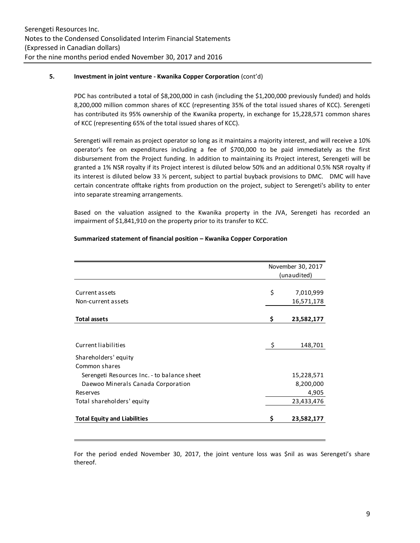### **5. Investment in joint venture - Kwanika Copper Corporation** (cont'd)

PDC has contributed a total of \$8,200,000 in cash (including the \$1,200,000 previously funded) and holds 8,200,000 million common shares of KCC (representing 35% of the total issued shares of KCC). Serengeti has contributed its 95% ownership of the Kwanika property, in exchange for 15,228,571 common shares of KCC (representing 65% of the total issued shares of KCC).

Serengeti will remain as project operator so long as it maintains a majority interest, and will receive a 10% operator's fee on expenditures including a fee of \$700,000 to be paid immediately as the first disbursement from the Project funding. In addition to maintaining its Project interest, Serengeti will be granted a 1% NSR royalty if its Project interest is diluted below 50% and an additional 0.5% NSR royalty if its interest is diluted below 33 ⅓ percent, subject to partial buyback provisions to DMC. DMC will have certain concentrate offtake rights from production on the project, subject to Serengeti's ability to enter into separate streaming arrangements.

Based on the valuation assigned to the Kwanika property in the JVA, Serengeti has recorded an impairment of \$1,841,910 on the property prior to its transfer to KCC.

|  | Summarized statement of financial position - Kwanika Copper Corporation |  |
|--|-------------------------------------------------------------------------|--|
|--|-------------------------------------------------------------------------|--|

|                                             | November 30, 2017<br>(unaudited) |                         |  |  |
|---------------------------------------------|----------------------------------|-------------------------|--|--|
| Current assets                              | \$                               |                         |  |  |
| Non-current assets                          |                                  | 7,010,999<br>16,571,178 |  |  |
|                                             |                                  |                         |  |  |
| <b>Total assets</b>                         | \$                               | 23,582,177              |  |  |
|                                             |                                  |                         |  |  |
| Current liabilities                         | Ŝ.                               | 148,701                 |  |  |
| Shareholders' equity                        |                                  |                         |  |  |
| Common shares                               |                                  |                         |  |  |
| Serengeti Resources Inc. - to balance sheet |                                  | 15,228,571              |  |  |
| Daewoo Minerals Canada Corporation          |                                  | 8,200,000               |  |  |
| Reserves                                    |                                  | 4,905                   |  |  |
| Total shareholders' equity                  |                                  | 23,433,476              |  |  |
| <b>Total Equity and Liabilities</b>         | \$                               | 23,582,177              |  |  |

For the period ended November 30, 2017, the joint venture loss was \$nil as was Serengeti's share thereof.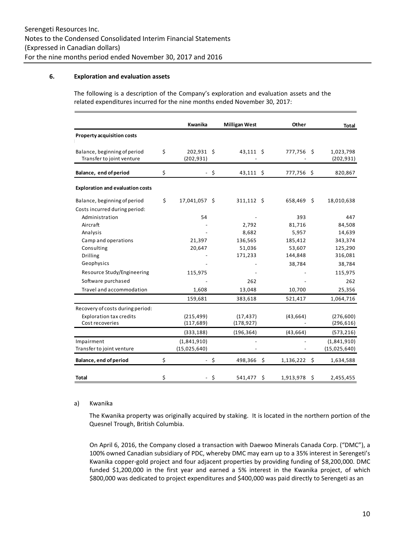### **6. Exploration and evaluation assets**

The following is a description of the Company's exploration and evaluation assets and the related expenditures incurred for the nine months ended November 30, 2017:

|                                                           | Kwanika                        |        | <b>Milligan West</b> |    | Other          |     | <b>Total</b>            |
|-----------------------------------------------------------|--------------------------------|--------|----------------------|----|----------------|-----|-------------------------|
| <b>Property acquisition costs</b>                         |                                |        |                      |    |                |     |                         |
| Balance, beginning of period<br>Transfer to joint venture | \$<br>202,931 \$<br>(202, 931) |        | $43,111$ \$          |    | 777,756 \$     |     | 1,023,798<br>(202, 931) |
| Balance, end of period                                    | \$                             | $-$ \$ | $43,111$ \$          |    | 777,756 \$     |     | 820,867                 |
| <b>Exploration and evaluation costs</b>                   |                                |        |                      |    |                |     |                         |
| Balance, beginning of period                              | \$<br>17,041,057 \$            |        | $311,112$ \$         |    | 658,469 \$     |     | 18,010,638              |
| Costs incurred during period:                             |                                |        |                      |    |                |     |                         |
| Administration                                            | 54                             |        |                      |    | 393            |     | 447                     |
| Aircraft                                                  |                                |        | 2,792                |    | 81,716         |     | 84,508                  |
| Analysis                                                  |                                |        | 8,682                |    | 5,957          |     | 14,639                  |
| Camp and operations                                       | 21,397                         |        | 136,565              |    | 185,412        |     | 343,374                 |
| Consulting                                                | 20,647                         |        | 51,036               |    | 53,607         |     | 125,290                 |
| <b>Drilling</b>                                           |                                |        | 171,233              |    | 144,848        |     | 316,081                 |
| Geophysics                                                |                                |        |                      |    | 38,784         |     | 38,784                  |
| Resource Study/Engineering                                | 115,975                        |        |                      |    |                |     | 115,975                 |
| Software purchased                                        |                                |        | 262                  |    |                |     | 262                     |
| Travel and accommodation                                  | 1,608                          |        | 13,048               |    | 10,700         |     | 25,356                  |
|                                                           | 159,681                        |        | 383,618              |    | 521,417        |     | 1,064,716               |
| Recovery of costs during period:                          |                                |        |                      |    |                |     |                         |
| <b>Exploration tax credits</b>                            | (215, 499)                     |        | (17, 437)            |    | (43, 664)      |     | (276, 600)              |
| Cost recoveries                                           | (117, 689)                     |        | (178, 927)           |    |                |     | (296, 616)              |
|                                                           | (333, 188)                     |        | (196, 364)           |    | (43, 664)      |     | (573, 216)              |
| Impairment                                                | (1,841,910)                    |        |                      |    |                |     | (1,841,910)             |
| Transfer to joint venture                                 | (15,025,640)                   |        |                      |    |                |     | (15,025,640)            |
| Balance, end of period                                    | \$                             | $-5$   | 498,366 \$           |    | $1,136,222$ \$ |     | 1,634,588               |
| Total                                                     | \$                             | \$     | 541,477              | Ŝ. | 1,913,978      | - S | 2,455,455               |

#### a) Kwanika

 $\mathcal{L}_{\mathcal{A}}$ 

The Kwanika property was originally acquired by staking. It is located in the northern portion of the Quesnel Trough, British Columbia.

 $\sim$ 

 $\sim$ 

On April 6, 2016, the Company closed a transaction with Daewoo Minerals Canada Corp. ("DMC"), a 100% owned Canadian subsidiary of PDC, whereby DMC may earn up to a 35% interest in Serengeti's Kwanika copper-gold project and four adjacent properties by providing funding of \$8,200,000. DMC funded \$1,200,000 in the first year and earned a 5% interest in the Kwanika project, of which \$800,000 was dedicated to project expenditures and \$400,000 was paid directly to Serengeti as an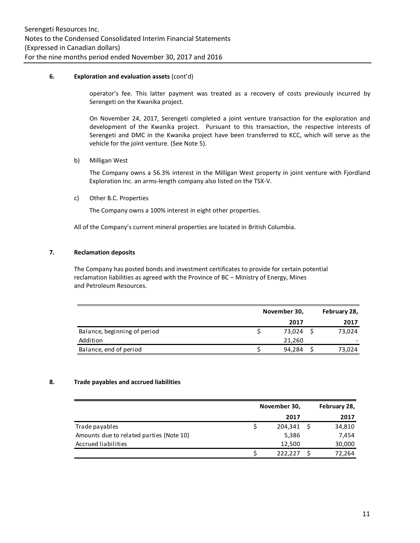### **6. Exploration and evaluation assets** (cont'd)

operator's fee. This latter payment was treated as a recovery of costs previously incurred by Serengeti on the Kwanika project.

On November 24, 2017, Serengeti completed a joint venture transaction for the exploration and development of the Kwanika project. Pursuant to this transaction, the respective interests of Serengeti and DMC in the Kwanika project have been transferred to KCC, which will serve as the vehicle for the joint venture. (See Note 5).

b) Milligan West

The Company owns a 56.3% interest in the Milligan West property in joint venture with Fjordland Exploration Inc. an arms-length company also listed on the TSX-V.

c) Other B.C. Properties

The Company owns a 100% interest in eight other properties.

All of the Company's current mineral properties are located in British Columbia.

### **7. Reclamation deposits**

The Company has posted bonds and investment certificates to provide for certain potential reclamation liabilities as agreed with the Province of BC – Ministry of Energy, Mines and Petroleum Resources.

|                              | November 30, | February 28, |
|------------------------------|--------------|--------------|
|                              | 2017         | 2017         |
| Balance, beginning of period | 73.024       | 73,024       |
| Addition                     | 21.260       |              |
| Balance, end of period       | 94,284       | 73,024       |

### **8. Trade payables and accrued liabilities**

|                                          | November 30, | February 28, |
|------------------------------------------|--------------|--------------|
|                                          | 2017         | 2017         |
| Trade payables                           | 204,341 \$   | 34,810       |
| Amounts due to related parties (Note 10) | 5,386        | 7,454        |
| Accrued liabilities                      | 12,500       | 30,000       |
|                                          | 222.227      | 72,264       |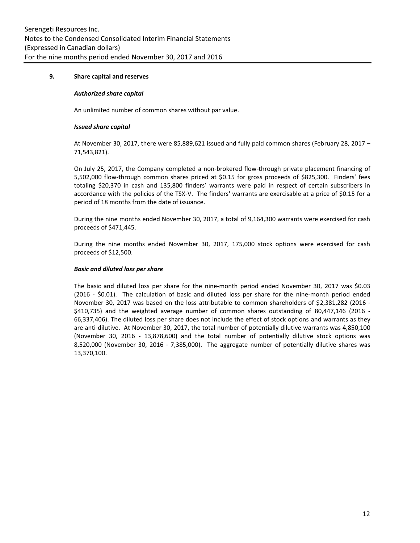### **9. Share capital and reserves**

#### *Authorized share capital*

An unlimited number of common shares without par value.

#### *Issued share capital*

At November 30, 2017, there were 85,889,621 issued and fully paid common shares (February 28, 2017 – 71,543,821).

On July 25, 2017, the Company completed a non-brokered flow-through private placement financing of 5,502,000 flow-through common shares priced at \$0.15 for gross proceeds of \$825,300. Finders' fees totaling \$20,370 in cash and 135,800 finders' warrants were paid in respect of certain subscribers in accordance with the policies of the TSX-V. The finders' warrants are exercisable at a price of \$0.15 for a period of 18 months from the date of issuance.

During the nine months ended November 30, 2017, a total of 9,164,300 warrants were exercised for cash proceeds of \$471,445.

During the nine months ended November 30, 2017, 175,000 stock options were exercised for cash proceeds of \$12,500.

### *Basic and diluted loss per share*

The basic and diluted loss per share for the nine-month period ended November 30, 2017 was \$0.03 (2016 - \$0.01). The calculation of basic and diluted loss per share for the nine-month period ended November 30, 2017 was based on the loss attributable to common shareholders of \$2,381,282 (2016 - \$410,735) and the weighted average number of common shares outstanding of 80,447,146 (2016 -66,337,406). The diluted loss per share does not include the effect of stock options and warrants as they are anti-dilutive. At November 30, 2017, the total number of potentially dilutive warrants was 4,850,100 (November 30, 2016 - 13,878,600) and the total number of potentially dilutive stock options was 8,520,000 (November 30, 2016 - 7,385,000). The aggregate number of potentially dilutive shares was 13,370,100.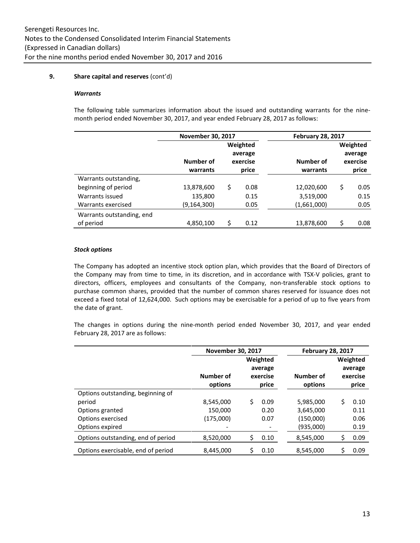### **9. Share capital and reserves** (cont'd)

#### *Warrants*

The following table summarizes information about the issued and outstanding warrants for the ninemonth period ended November 30, 2017, and year ended February 28, 2017 as follows:

|                           | <b>November 30, 2017</b> |    |          | <b>February 28, 2017</b> |            |
|---------------------------|--------------------------|----|----------|--------------------------|------------|
|                           |                          |    | Weighted |                          | Weighted   |
|                           |                          |    | average  |                          | average    |
|                           | Number of                |    | exercise | Number of                | exercise   |
|                           | warrants                 |    | price    | warrants                 | price      |
| Warrants outstanding,     |                          |    |          |                          |            |
| beginning of period       | 13,878,600               | \$ | 0.08     | 12,020,600               | \$<br>0.05 |
| Warrants issued           | 135,800                  |    | 0.15     | 3,519,000                | 0.15       |
| Warrants exercised        | (9, 164, 300)            |    | 0.05     | (1,661,000)              | 0.05       |
| Warrants outstanding, end |                          |    |          |                          |            |
| of period                 | 4,850,100                | Ś  | 0.12     | 13,878,600               | 0.08       |

#### *Stock options*

The Company has adopted an incentive stock option plan, which provides that the Board of Directors of the Company may from time to time, in its discretion, and in accordance with TSX-V policies, grant to directors, officers, employees and consultants of the Company, non-transferable stock options to purchase common shares, provided that the number of common shares reserved for issuance does not exceed a fixed total of 12,624,000. Such options may be exercisable for a period of up to five years from the date of grant.

The changes in options during the nine-month period ended November 30, 2017, and year ended February 28, 2017 are as follows:

|                                                                                                        | <b>November 30, 2017</b>          |                                          |                      |                                                  | <b>February 28, 2017</b>                 |                              |  |  |
|--------------------------------------------------------------------------------------------------------|-----------------------------------|------------------------------------------|----------------------|--------------------------------------------------|------------------------------------------|------------------------------|--|--|
|                                                                                                        | Number of<br>options              | Weighted<br>average<br>exercise<br>price |                      | Number of<br>options                             | Weighted<br>average<br>exercise<br>price |                              |  |  |
| Options outstanding, beginning of<br>period<br>Options granted<br>Options exercised<br>Options expired | 8,545,000<br>150,000<br>(175,000) | Ś                                        | 0.09<br>0.20<br>0.07 | 5,985,000<br>3,645,000<br>(150,000)<br>(935,000) | Ś                                        | 0.10<br>0.11<br>0.06<br>0.19 |  |  |
| Options outstanding, end of period                                                                     | 8,520,000                         | S                                        | 0.10                 | 8,545,000                                        | Ś                                        | 0.09                         |  |  |
| Options exercisable, end of period                                                                     | 8,445,000                         | Ś                                        | 0.10                 | 8,545,000                                        | Ś                                        | 0.09                         |  |  |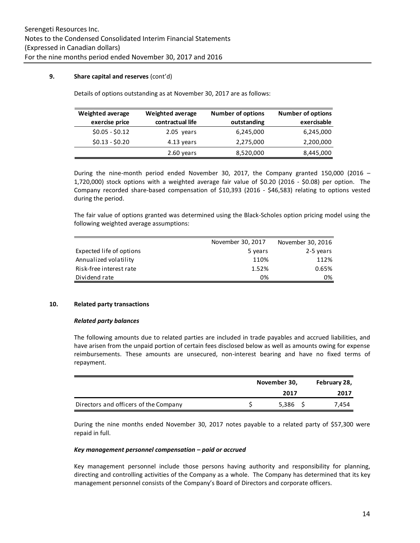### **9. Share capital and reserves** (cont'd)

Details of options outstanding as at November 30, 2017 are as follows:

| <b>Weighted average</b> | <b>Weighted average</b> | <b>Number of options</b> | <b>Number of options</b> |
|-------------------------|-------------------------|--------------------------|--------------------------|
| exercise price          | contractual life        | outstanding              | exercisable              |
| $$0.05 - $0.12$         | 2.05 years              | 6,245,000                | 6,245,000                |
| $$0.13 - $0.20$         | 4.13 years              | 2,275,000                | 2,200,000                |
|                         | 2.60 years              | 8,520,000                | 8,445,000                |

During the nine-month period ended November 30, 2017, the Company granted 150,000 (2016 – 1,720,000) stock options with a weighted average fair value of \$0.20 (2016 - \$0.08) per option. The Company recorded share-based compensation of \$10,393 (2016 - \$46,583) relating to options vested during the period.

The fair value of options granted was determined using the Black-Scholes option pricing model using the following weighted average assumptions:

|                          | November 30, 2017 | November 30, 2016 |
|--------------------------|-------------------|-------------------|
| Expected life of options | 5 years           | 2-5 years         |
| Annualized volatility    | 110%              | 112%              |
| Risk-free interest rate  | 1.52%             | 0.65%             |
| Dividend rate            | 0%                | 0%                |
|                          |                   |                   |

### **10. Related party transactions**

#### *Related party balances*

The following amounts due to related parties are included in trade payables and accrued liabilities, and have arisen from the unpaid portion of certain fees disclosed below as well as amounts owing for expense reimbursements. These amounts are unsecured, non-interest bearing and have no fixed terms of repayment.

|                                       | November 30, |       | February 28, |  |
|---------------------------------------|--------------|-------|--------------|--|
|                                       |              | 2017  | 2017         |  |
| Directors and officers of the Company |              | 5,386 | 7.454        |  |

During the nine months ended November 30, 2017 notes payable to a related party of \$57,300 were repaid in full.

#### *Key management personnel compensation – paid or accrued*

Key management personnel include those persons having authority and responsibility for planning, directing and controlling activities of the Company as a whole. The Company has determined that its key management personnel consists of the Company's Board of Directors and corporate officers.